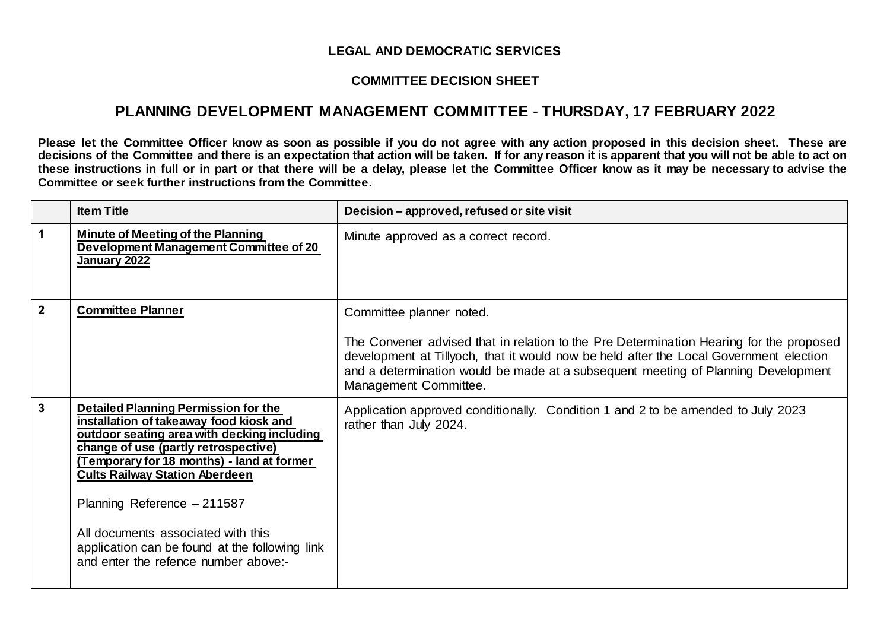## **LEGAL AND DEMOCRATIC SERVICES**

## **COMMITTEE DECISION SHEET**

## **PLANNING DEVELOPMENT MANAGEMENT COMMITTEE - THURSDAY, 17 FEBRUARY 2022**

**Please let the Committee Officer know as soon as possible if you do not agree with any action proposed in this decision sheet. These are decisions of the Committee and there is an expectation that action will be taken. If for any reason it is apparent that you will not be able to act on these instructions in full or in part or that there will be a delay, please let the Committee Officer know as it may be necessary to advise the Committee or seek further instructions from the Committee.**

|                | <b>Item Title</b>                                                                                                                                                                                                                                                                                                                                                                                                                   | Decision - approved, refused or site visit                                                                                                                                                                                                                                                                                  |
|----------------|-------------------------------------------------------------------------------------------------------------------------------------------------------------------------------------------------------------------------------------------------------------------------------------------------------------------------------------------------------------------------------------------------------------------------------------|-----------------------------------------------------------------------------------------------------------------------------------------------------------------------------------------------------------------------------------------------------------------------------------------------------------------------------|
| $\mathbf 1$    | <b>Minute of Meeting of the Planning</b><br>Development Management Committee of 20<br>January 2022                                                                                                                                                                                                                                                                                                                                  | Minute approved as a correct record.                                                                                                                                                                                                                                                                                        |
| $\overline{2}$ | <b>Committee Planner</b>                                                                                                                                                                                                                                                                                                                                                                                                            | Committee planner noted.<br>The Convener advised that in relation to the Pre Determination Hearing for the proposed<br>development at Tillyoch, that it would now be held after the Local Government election<br>and a determination would be made at a subsequent meeting of Planning Development<br>Management Committee. |
| $\mathbf{3}$   | <b>Detailed Planning Permission for the</b><br>installation of takeaway food kiosk and<br>outdoor seating area with decking including<br>change of use (partly retrospective)<br>(Temporary for 18 months) - land at former<br><b>Cults Railway Station Aberdeen</b><br>Planning Reference - 211587<br>All documents associated with this<br>application can be found at the following link<br>and enter the refence number above:- | Application approved conditionally. Condition 1 and 2 to be amended to July 2023<br>rather than July 2024.                                                                                                                                                                                                                  |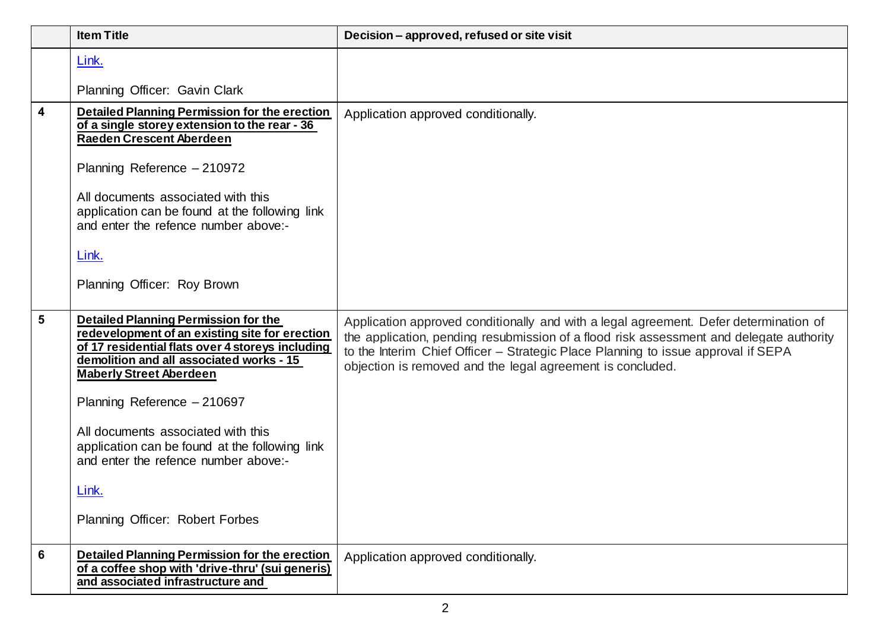|                         | <b>Item Title</b>                                                                                                                                                                                                                                                                                                                                                                                                                          | Decision – approved, refused or site visit                                                                                                                                                                                                                                                                                          |
|-------------------------|--------------------------------------------------------------------------------------------------------------------------------------------------------------------------------------------------------------------------------------------------------------------------------------------------------------------------------------------------------------------------------------------------------------------------------------------|-------------------------------------------------------------------------------------------------------------------------------------------------------------------------------------------------------------------------------------------------------------------------------------------------------------------------------------|
|                         | Link.                                                                                                                                                                                                                                                                                                                                                                                                                                      |                                                                                                                                                                                                                                                                                                                                     |
|                         | Planning Officer: Gavin Clark                                                                                                                                                                                                                                                                                                                                                                                                              |                                                                                                                                                                                                                                                                                                                                     |
| $\overline{\mathbf{4}}$ | Detailed Planning Permission for the erection<br>of a single storey extension to the rear - 36<br>Raeden Crescent Aberdeen<br>Planning Reference - 210972<br>All documents associated with this<br>application can be found at the following link<br>and enter the refence number above:-<br>Link.<br>Planning Officer: Roy Brown                                                                                                          | Application approved conditionally.                                                                                                                                                                                                                                                                                                 |
| $5\phantom{1}$          | <b>Detailed Planning Permission for the</b><br>redevelopment of an existing site for erection<br>of 17 residential flats over 4 storeys including<br>demolition and all associated works - 15<br><b>Maberly Street Aberdeen</b><br>Planning Reference - 210697<br>All documents associated with this<br>application can be found at the following link<br>and enter the refence number above:-<br>Link.<br>Planning Officer: Robert Forbes | Application approved conditionally and with a legal agreement. Defer determination of<br>the application, pending resubmission of a flood risk assessment and delegate authority<br>to the Interim Chief Officer - Strategic Place Planning to issue approval if SEPA<br>objection is removed and the legal agreement is concluded. |
| 6                       | <b>Detailed Planning Permission for the erection</b><br>of a coffee shop with 'drive-thru' (sui generis)<br>and associated infrastructure and                                                                                                                                                                                                                                                                                              | Application approved conditionally.                                                                                                                                                                                                                                                                                                 |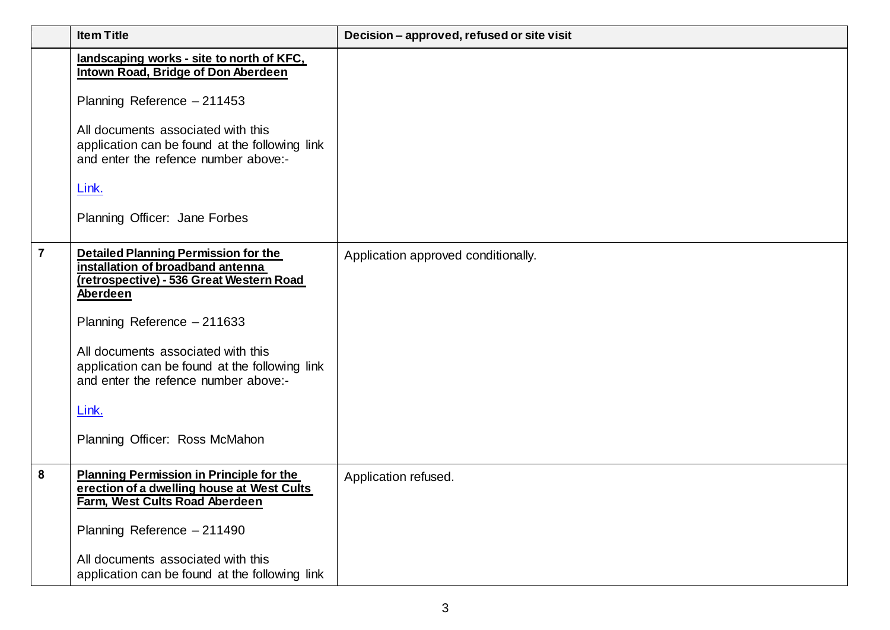|                | <b>Item Title</b>                                                                                                                                                                                                                                                                                                                                  | Decision - approved, refused or site visit |
|----------------|----------------------------------------------------------------------------------------------------------------------------------------------------------------------------------------------------------------------------------------------------------------------------------------------------------------------------------------------------|--------------------------------------------|
|                | landscaping works - site to north of KFC,<br>Intown Road, Bridge of Don Aberdeen<br>Planning Reference - 211453<br>All documents associated with this<br>application can be found at the following link<br>and enter the refence number above:-<br>Link.<br>Planning Officer: Jane Forbes                                                          |                                            |
| $\overline{7}$ | <b>Detailed Planning Permission for the</b><br>installation of broadband antenna<br>(retrospective) - 536 Great Western Road<br>Aberdeen<br>Planning Reference - 211633<br>All documents associated with this<br>application can be found at the following link<br>and enter the refence number above:-<br>Link.<br>Planning Officer: Ross McMahon | Application approved conditionally.        |
| 8              | <b>Planning Permission in Principle for the</b><br>erection of a dwelling house at West Cults<br>Farm, West Cults Road Aberdeen<br>Planning Reference - 211490<br>All documents associated with this<br>application can be found at the following link                                                                                             | Application refused.                       |